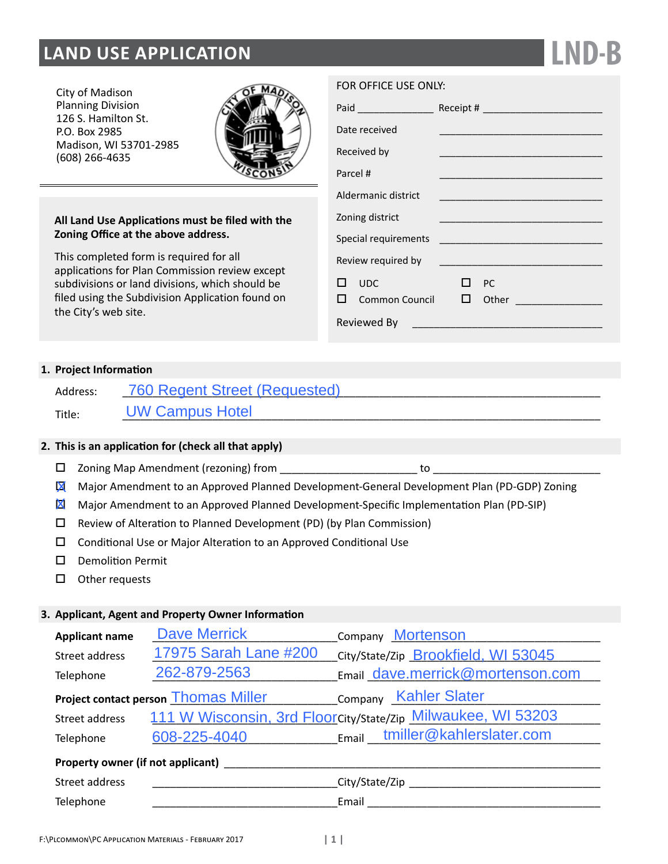# **LAND USE APPLICATION**

City of Madison Planning Division 126 S. Hamilton St. P.O. Box 2985 Madison, WI 53701-2985 (608) 266-4635



# **All Land Use Applications must be filed with the Zoning Office at the above address.**

This completed form is required for all applications for Plan Commission review except subdivisions or land divisions, which should be filed using the Subdivision Application found on the City's web site.

| Paid ________________ |                |   |           |                                                                                                                        |  |
|-----------------------|----------------|---|-----------|------------------------------------------------------------------------------------------------------------------------|--|
| Date received         |                |   |           |                                                                                                                        |  |
| Received by           |                |   |           |                                                                                                                        |  |
| Parcel #              |                |   |           |                                                                                                                        |  |
| Aldermanic district   |                |   |           | <u> 1980 - Johann John Stein, markin fan it ferskearre fan it ferskearre fan it ferskearre fan it ferskearre fan i</u> |  |
| Zoning district       |                |   |           | <u> 1980 - Johann John Stone, mars eta biztanleria (h. 1980).</u>                                                      |  |
| Special requirements  |                |   |           | <u> 1999 - Jan James Barnett, mars et al.</u>                                                                          |  |
| Review required by    |                |   |           |                                                                                                                        |  |
| 1 I                   | <b>UDC</b>     |   | <b>PC</b> |                                                                                                                        |  |
|                       | Common Council | ப |           | Other and the contract of the contract of the contract of the contract of the contract of the contract of the          |  |
| Reviewed By           |                |   |           |                                                                                                                        |  |

**LND-B**

# **1. Project Information**

| Address: | 760 Regent Street (Requested) |
|----------|-------------------------------|
| Title:   | <b>UW Campus Hotel</b>        |

# **2. This is an application for (check all that apply)**

- $\square$  Zoning Map Amendment (rezoning) from
- **X** Major Amendment to an Approved Planned Development-General Development Plan (PD-GDP) Zoning
- **X** Major Amendment to an Approved Planned Development-Specific Implementation Plan (PD-SIP)
- $\square$  Review of Alteration to Planned Development (PD) (by Plan Commission)
- □ Conditional Use or Major Alteration to an Approved Conditional Use
- D Demolition Permit
- $\square$  Other requests

# **3. Applicant, Agent and Property Owner Information**

| <b>Applicant name</b>                                                | <b>Dave Merrick</b>   | Company Mortenson                                            |  |  |  |
|----------------------------------------------------------------------|-----------------------|--------------------------------------------------------------|--|--|--|
| Street address                                                       | 17975 Sarah Lane #200 | City/State/Zip Brookfield, WI 53045                          |  |  |  |
| Telephone                                                            | 262-879-2563          | Email dave.merrick@mortenson.com                             |  |  |  |
| Company Kahler Slater<br><b>Project contact person Thomas Miller</b> |                       |                                                              |  |  |  |
| Street address                                                       |                       | 111 W Wisconsin, 3rd Floorcity/State/Zip Milwaukee, WI 53203 |  |  |  |
| Telephone                                                            | 608-225-4040          | Email tmiller@kahlerslater.com                               |  |  |  |
| Property owner (if not applicant)                                    |                       |                                                              |  |  |  |
| Street address                                                       |                       | City/State/Zip                                               |  |  |  |

Telephone \_\_\_\_\_\_\_\_\_\_\_\_\_\_\_\_\_\_\_\_\_\_\_\_\_\_\_\_\_\_\_Email \_\_\_\_\_\_\_\_\_\_\_\_\_\_\_\_\_\_\_\_\_\_\_\_\_\_\_\_\_\_\_\_\_\_\_\_\_\_\_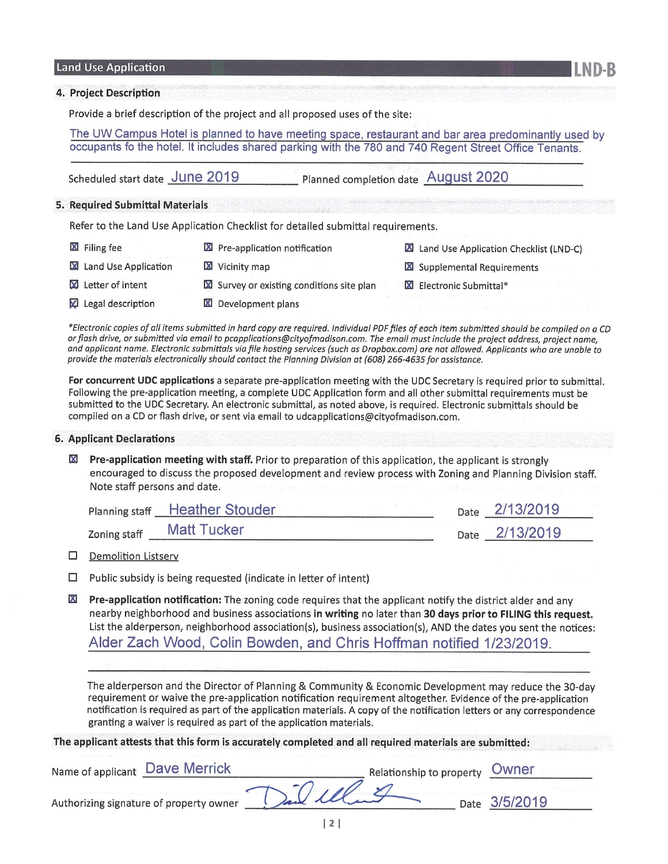#### **Land Use Application**

#### 4. Project Description

Provide a brief description of the project and all proposed uses of the site:

The UW Campus Hotel is planned to have meeting space, restaurant and bar area predominantly used by occupants fo the hotel. It includes shared parking with the 780 and 740 Regent Street Office Tenants.

Scheduled start date June 2019 Planned completion date August 2020

#### 5. Required Submittal Materials

Refer to the Land Use Application Checklist for detailed submittal requirements.

| X Filing fee                  | <b>X</b> Pre-application notification   |  | Land Use Application Checklist (LND-C) |
|-------------------------------|-----------------------------------------|--|----------------------------------------|
| <b>X</b> Land Use Application | Vicinity map                            |  | Supplemental Requirements              |
| Letter of intent              | Survey or existing conditions site plan |  | Electronic Submittal*                  |
| Legal description             | Development plans                       |  |                                        |

\*Electronic copies of all items submitted in hard copy are required. Individual PDF files of each item submitted should be compiled on a CD or flash drive, or submitted via email to pcapplications@cityofmadison.com. The email must include the project address, project name, and applicant name. Electronic submittals via file hosting services (such as Dropbox.com) are not allowed. Applicants who are unable to provide the materials electronically should contact the Planning Division at (608) 266-4635 for assistance.

For concurrent UDC applications a separate pre-application meeting with the UDC Secretary is required prior to submittal. Following the pre-application meeting, a complete UDC Application form and all other submittal requirements must be submitted to the UDC Secretary. An electronic submittal, as noted above, is required. Electronic submittals should be compiled on a CD or flash drive, or sent via email to udcapplications@cityofmadison.com.

#### **6. Applicant Declarations**

 $\boxtimes$  Pre-application meeting with staff. Prior to preparation of this application, the applicant is strongly encouraged to discuss the proposed development and review process with Zoning and Planning Division staff. Note staff persons and date.

|              | Planning staff Heather Stouder |  | Date 2/13/2019 |  |
|--------------|--------------------------------|--|----------------|--|
| Zoning staff | <b>Matt Tucker</b>             |  | Date 2/13/2019 |  |

 $\Box$  Demolition Listserv

- $\Box$  Public subsidy is being requested (indicate in letter of intent)
- $\mathbf{x}$ Pre-application notification: The zoning code requires that the applicant notify the district alder and any nearby neighborhood and business associations in writing no later than 30 days prior to FILING this request. List the alderperson, neighborhood association(s), business association(s), AND the dates you sent the notices: Alder Zach Wood, Colin Bowden, and Chris Hoffman notified 1/23/2019.

The alderperson and the Director of Planning & Community & Economic Development may reduce the 30-day requirement or waive the pre-application notification requirement altogether. Evidence of the pre-application notification is required as part of the application materials. A copy of the notification letters or any correspondence granting a waiver is required as part of the application materials.

The applicant attests that this form is accurately completed and all required materials are submitted:

| Name of applicant Dave Merrick          |            | Relationship to property | Owner         |  |
|-----------------------------------------|------------|--------------------------|---------------|--|
| Authorizing signature of property owner | Jan Illand |                          | Date 3/5/2019 |  |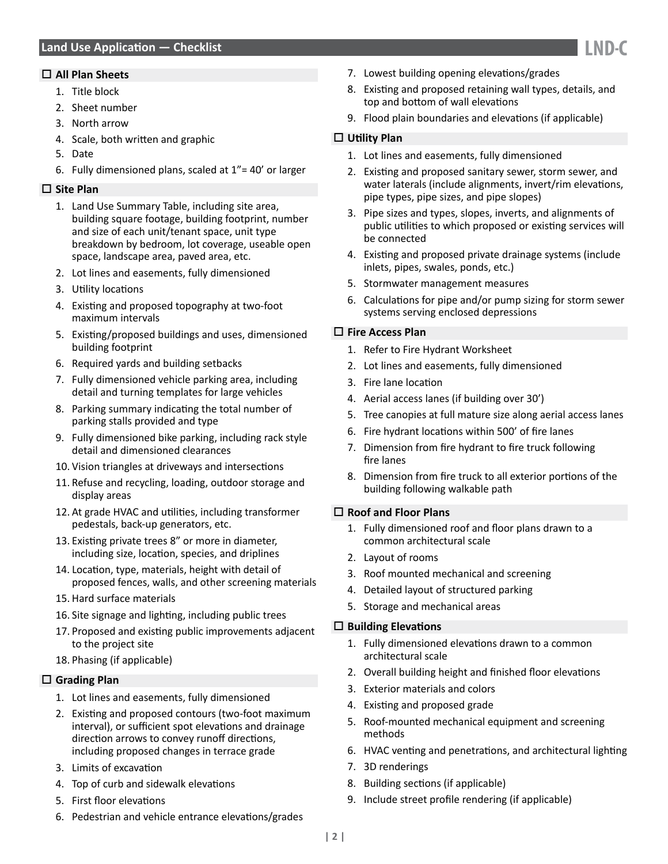# **Land Use Application — Checklist**

#### **All Plan Sheets**

- 1. Title block
- 2. Sheet number
- 3. North arrow
- 4. Scale, both written and graphic
- 5. Date
- 6. Fully dimensioned plans, scaled at  $1"$  = 40' or larger

## **Site Plan**

- 1. Land Use Summary Table, including site area, building square footage, building footprint, number and size of each unit/tenant space, unit type breakdown by bedroom, lot coverage, useable open space, landscape area, paved area, etc.
- 2. Lot lines and easements, fully dimensioned
- 3. Utility locations
- 4. Existing and proposed topography at two-foot maximum intervals
- 5. Existing/proposed buildings and uses, dimensioned building footprint
- 6. Required yards and building setbacks
- 7. Fully dimensioned vehicle parking area, including detail and turning templates for large vehicles
- 8. Parking summary indicating the total number of parking stalls provided and type
- 9. Fully dimensioned bike parking, including rack style detail and dimensioned clearances
- 10. Vision triangles at driveways and intersections
- 11. Refuse and recycling, loading, outdoor storage and display areas
- 12. At grade HVAC and utilities, including transformer pedestals, back-up generators, etc.
- 13. Existing private trees 8" or more in diameter, including size, location, species, and driplines
- 14. Location, type, materials, height with detail of proposed fences, walls, and other screening materials
- 15. Hard surface materials
- 16. Site signage and lighting, including public trees
- 17. Proposed and existing public improvements adjacent to the project site
- 18. Phasing (if applicable)

# **Grading Plan**

- 1. Lot lines and easements, fully dimensioned
- 2. Existing and proposed contours (two-foot maximum interval), or sufficient spot elevations and drainage direction arrows to convey runoff directions, including proposed changes in terrace grade
- 3. Limits of excavation
- 4. Top of curb and sidewalk elevations
- 5. First floor elevations
- 6. Pedestrian and vehicle entrance elevations/grades
- 7. Lowest building opening elevations/grades
- 8. Existing and proposed retaining wall types, details, and top and bottom of wall elevations
- 9. Flood plain boundaries and elevations (if applicable)

## **Utility Plan**

- 1. Lot lines and easements, fully dimensioned
- 2. Existing and proposed sanitary sewer, storm sewer, and water laterals (include alignments, invert/rim elevations, pipe types, pipe sizes, and pipe slopes)
- 3. Pipe sizes and types, slopes, inverts, and alignments of public utilities to which proposed or existing services will be connected
- 4. Existing and proposed private drainage systems (include inlets, pipes, swales, ponds, etc.)
- 5. Stormwater management measures
- 6. Calculations for pipe and/or pump sizing for storm sewer systems serving enclosed depressions

#### **Fire Access Plan**

- 1. Refer to Fire Hydrant Worksheet
- 2. Lot lines and easements, fully dimensioned
- 3. Fire lane location
- 4. Aerial access lanes (if building over 30')
- 5. Tree canopies at full mature size along aerial access lanes
- 6. Fire hydrant locations within 500' of fire lanes
- 7. Dimension from fire hydrant to fire truck following fire lanes
- 8. Dimension from fire truck to all exterior portions of the building following walkable path

#### **Roof and Floor Plans**

- 1. Fully dimensioned roof and floor plans drawn to a common architectural scale
- 2. Layout of rooms
- 3. Roof mounted mechanical and screening
- 4. Detailed layout of structured parking
- 5. Storage and mechanical areas

#### **Building Elevations**

- 1. Fully dimensioned elevations drawn to a common architectural scale
- 2. Overall building height and finished floor elevations
- 3. Exterior materials and colors
- 4. Existing and proposed grade
- 5. Roof-mounted mechanical equipment and screening methods
- 6. HVAC venting and penetrations, and architectural lighting
- 7. 3D renderings
- 8. Building sections (if applicable)
- 9. Include street profile rendering (if applicable)